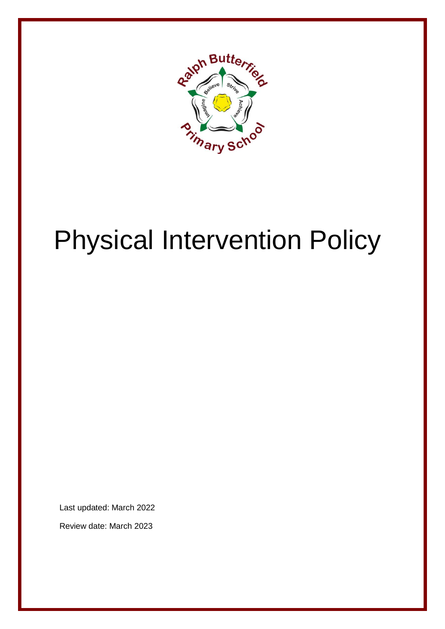

# Physical Intervention Policy

Last updated: March 2022

Review date: March 2023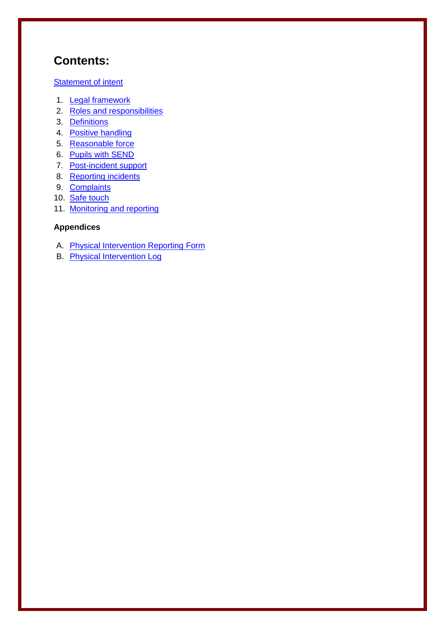## **Contents:**

#### **[Statement of intent](#page-2-0)**

- 1. [Legal framework](#page-3-0)
- 2. [Roles and responsibilities](#page-3-1)
- 3. [Definitions](#page-4-0)
- 4. [Positive handling](#page-5-0)
- 5. [Reasonable force](#page-6-0)
- 6. [Pupils with SEND](#page-7-0)
- 7. [Post-incident support](#page-8-0)
- 8. [Reporting incidents](#page-8-1)
- 9. [Complaints](#page-9-0)
- 10. [Safe touch](#page-10-0)
- 11. [Monitoring and reporting](#page-11-0)

#### **Appendices**

- A. [Physical Intervention Reporting Form](#page-12-0)
- B. [Physical Intervention Log](#page-14-0)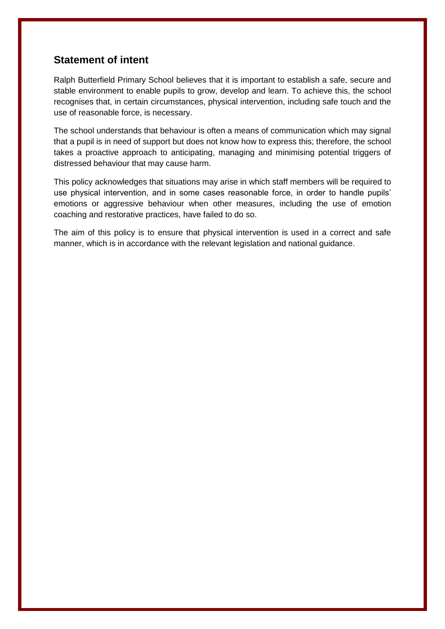#### <span id="page-2-0"></span>**Statement of intent**

Ralph Butterfield Primary School believes that it is important to establish a safe, secure and stable environment to enable pupils to grow, develop and learn. To achieve this, the school recognises that, in certain circumstances, physical intervention, including safe touch and the use of reasonable force, is necessary.

The school understands that behaviour is often a means of communication which may signal that a pupil is in need of support but does not know how to express this; therefore, the school takes a proactive approach to anticipating, managing and minimising potential triggers of distressed behaviour that may cause harm.

This policy acknowledges that situations may arise in which staff members will be required to use physical intervention, and in some cases reasonable force, in order to handle pupils' emotions or aggressive behaviour when other measures, including the use of emotion coaching and restorative practices, have failed to do so.

The aim of this policy is to ensure that physical intervention is used in a correct and safe manner, which is in accordance with the relevant legislation and national guidance.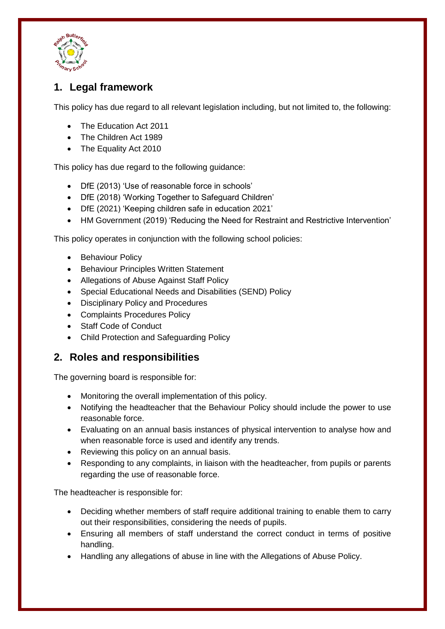

## <span id="page-3-0"></span>**1. Legal framework**

This policy has due regard to all relevant legislation including, but not limited to, the following:

- The Education Act 2011
- The Children Act 1989
- The Equality Act 2010

This policy has due regard to the following guidance:

- DfE (2013) 'Use of reasonable force in schools'
- DfE (2018) 'Working Together to Safeguard Children'
- DfE (2021) 'Keeping children safe in education 2021'
- HM Government (2019) 'Reducing the Need for Restraint and Restrictive Intervention'

This policy operates in conjunction with the following school policies:

- Behaviour Policy
- **•** Behaviour Principles Written Statement
- Allegations of Abuse Against Staff Policy
- Special Educational Needs and Disabilities (SEND) Policy
- Disciplinary Policy and Procedures
- Complaints Procedures Policy
- Staff Code of Conduct
- Child Protection and Safeguarding Policy

#### <span id="page-3-1"></span>**2. Roles and responsibilities**

The governing board is responsible for:

- Monitoring the overall implementation of this policy.
- Notifying the headteacher that the Behaviour Policy should include the power to use reasonable force.
- Evaluating on an annual basis instances of physical intervention to analyse how and when reasonable force is used and identify any trends.
- Reviewing this policy on an annual basis.
- Responding to any complaints, in liaison with the headteacher, from pupils or parents regarding the use of reasonable force.

The headteacher is responsible for:

- Deciding whether members of staff require additional training to enable them to carry out their responsibilities, considering the needs of pupils.
- Ensuring all members of staff understand the correct conduct in terms of positive handling.
- Handling any allegations of abuse in line with the Allegations of Abuse Policy.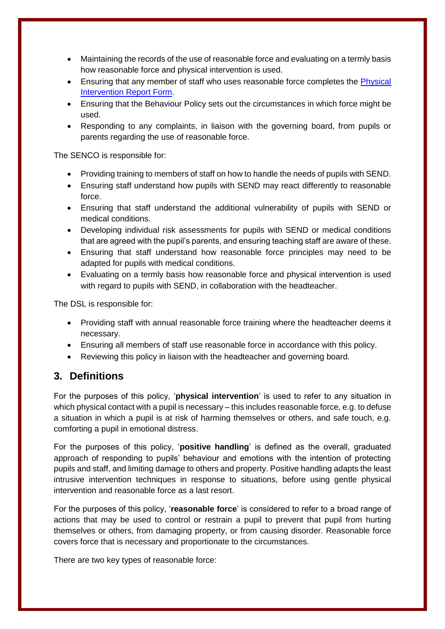- Maintaining the records of the use of reasonable force and evaluating on a termly basis how reasonable force and physical intervention is used.
- Ensuring that any member of staff who uses reasonable force completes the [Physical](#page-12-0)  [Intervention Report Form.](#page-12-0)
- Ensuring that the Behaviour Policy sets out the circumstances in which force might be used.
- Responding to any complaints, in liaison with the governing board, from pupils or parents regarding the use of reasonable force.

The SENCO is responsible for:

- Providing training to members of staff on how to handle the needs of pupils with SEND.
- Ensuring staff understand how pupils with SEND may react differently to reasonable force.
- Ensuring that staff understand the additional vulnerability of pupils with SEND or medical conditions.
- Developing individual risk assessments for pupils with SEND or medical conditions that are agreed with the pupil's parents, and ensuring teaching staff are aware of these.
- Ensuring that staff understand how reasonable force principles may need to be adapted for pupils with medical conditions.
- Evaluating on a termly basis how reasonable force and physical intervention is used with regard to pupils with SEND, in collaboration with the headteacher.

The DSL is responsible for:

- Providing staff with annual reasonable force training where the headteacher deems it necessary.
- Ensuring all members of staff use reasonable force in accordance with this policy.
- Reviewing this policy in liaison with the headteacher and governing board.

#### <span id="page-4-0"></span>**3. Definitions**

For the purposes of this policy, '**physical intervention**' is used to refer to any situation in which physical contact with a pupil is necessary – this includes reasonable force, e.g. to defuse a situation in which a pupil is at risk of harming themselves or others, and safe touch, e.g. comforting a pupil in emotional distress.

For the purposes of this policy, '**positive handling**' is defined as the overall, graduated approach of responding to pupils' behaviour and emotions with the intention of protecting pupils and staff, and limiting damage to others and property. Positive handling adapts the least intrusive intervention techniques in response to situations, before using gentle physical intervention and reasonable force as a last resort.

For the purposes of this policy, '**reasonable force**' is considered to refer to a broad range of actions that may be used to control or restrain a pupil to prevent that pupil from hurting themselves or others, from damaging property, or from causing disorder. Reasonable force covers force that is necessary and proportionate to the circumstances.

There are two key types of reasonable force: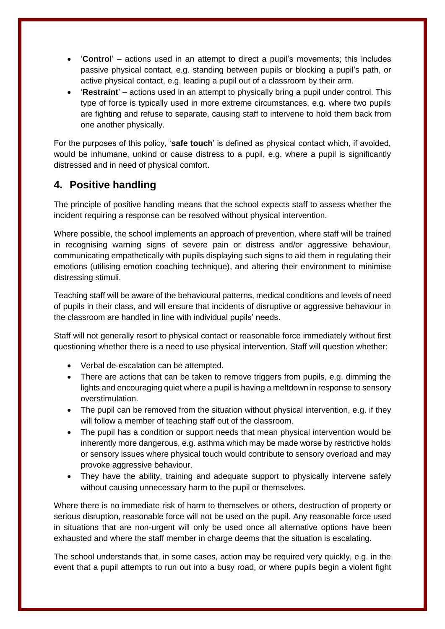- '**Control**' actions used in an attempt to direct a pupil's movements; this includes passive physical contact, e.g. standing between pupils or blocking a pupil's path, or active physical contact, e.g. leading a pupil out of a classroom by their arm.
- '**Restraint**' actions used in an attempt to physically bring a pupil under control. This type of force is typically used in more extreme circumstances, e.g. where two pupils are fighting and refuse to separate, causing staff to intervene to hold them back from one another physically.

For the purposes of this policy, '**safe touch**' is defined as physical contact which, if avoided, would be inhumane, unkind or cause distress to a pupil, e.g. where a pupil is significantly distressed and in need of physical comfort.

#### <span id="page-5-0"></span>**4. Positive handling**

The principle of positive handling means that the school expects staff to assess whether the incident requiring a response can be resolved without physical intervention.

Where possible, the school implements an approach of prevention, where staff will be trained in recognising warning signs of severe pain or distress and/or aggressive behaviour, communicating empathetically with pupils displaying such signs to aid them in regulating their emotions (utilising emotion coaching technique), and altering their environment to minimise distressing stimuli.

Teaching staff will be aware of the behavioural patterns, medical conditions and levels of need of pupils in their class, and will ensure that incidents of disruptive or aggressive behaviour in the classroom are handled in line with individual pupils' needs.

Staff will not generally resort to physical contact or reasonable force immediately without first questioning whether there is a need to use physical intervention. Staff will question whether:

- Verbal de-escalation can be attempted.
- There are actions that can be taken to remove triggers from pupils, e.g. dimming the lights and encouraging quiet where a pupil is having a meltdown in response to sensory overstimulation.
- The pupil can be removed from the situation without physical intervention, e.g. if they will follow a member of teaching staff out of the classroom.
- The pupil has a condition or support needs that mean physical intervention would be inherently more dangerous, e.g. asthma which may be made worse by restrictive holds or sensory issues where physical touch would contribute to sensory overload and may provoke aggressive behaviour.
- They have the ability, training and adequate support to physically intervene safely without causing unnecessary harm to the pupil or themselves.

Where there is no immediate risk of harm to themselves or others, destruction of property or serious disruption, reasonable force will not be used on the pupil. Any reasonable force used in situations that are non-urgent will only be used once all alternative options have been exhausted and where the staff member in charge deems that the situation is escalating.

The school understands that, in some cases, action may be required very quickly, e.g. in the event that a pupil attempts to run out into a busy road, or where pupils begin a violent fight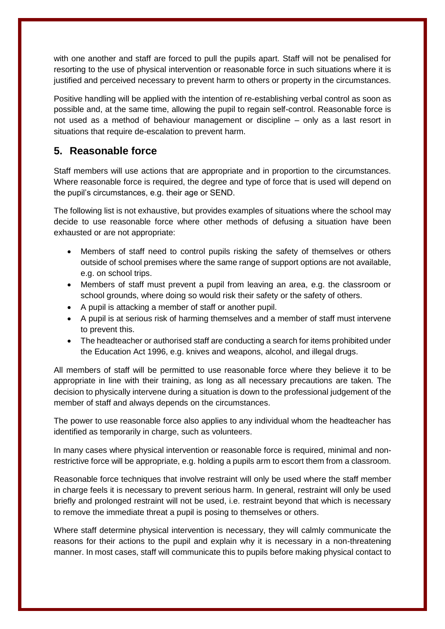with one another and staff are forced to pull the pupils apart. Staff will not be penalised for resorting to the use of physical intervention or reasonable force in such situations where it is justified and perceived necessary to prevent harm to others or property in the circumstances.

Positive handling will be applied with the intention of re-establishing verbal control as soon as possible and, at the same time, allowing the pupil to regain self-control. Reasonable force is not used as a method of behaviour management or discipline – only as a last resort in situations that require de-escalation to prevent harm.

#### <span id="page-6-0"></span>**5. Reasonable force**

Staff members will use actions that are appropriate and in proportion to the circumstances. Where reasonable force is required, the degree and type of force that is used will depend on the pupil's circumstances, e.g. their age or SEND.

The following list is not exhaustive, but provides examples of situations where the school may decide to use reasonable force where other methods of defusing a situation have been exhausted or are not appropriate:

- Members of staff need to control pupils risking the safety of themselves or others outside of school premises where the same range of support options are not available, e.g. on school trips.
- Members of staff must prevent a pupil from leaving an area, e.g. the classroom or school grounds, where doing so would risk their safety or the safety of others.
- A pupil is attacking a member of staff or another pupil.
- A pupil is at serious risk of harming themselves and a member of staff must intervene to prevent this.
- The headteacher or authorised staff are conducting a search for items prohibited under the Education Act 1996, e.g. knives and weapons, alcohol, and illegal drugs.

All members of staff will be permitted to use reasonable force where they believe it to be appropriate in line with their training, as long as all necessary precautions are taken. The decision to physically intervene during a situation is down to the professional judgement of the member of staff and always depends on the circumstances.

The power to use reasonable force also applies to any individual whom the headteacher has identified as temporarily in charge, such as volunteers.

In many cases where physical intervention or reasonable force is required, minimal and nonrestrictive force will be appropriate, e.g. holding a pupils arm to escort them from a classroom.

Reasonable force techniques that involve restraint will only be used where the staff member in charge feels it is necessary to prevent serious harm. In general, restraint will only be used briefly and prolonged restraint will not be used, i.e. restraint beyond that which is necessary to remove the immediate threat a pupil is posing to themselves or others.

Where staff determine physical intervention is necessary, they will calmly communicate the reasons for their actions to the pupil and explain why it is necessary in a non-threatening manner. In most cases, staff will communicate this to pupils before making physical contact to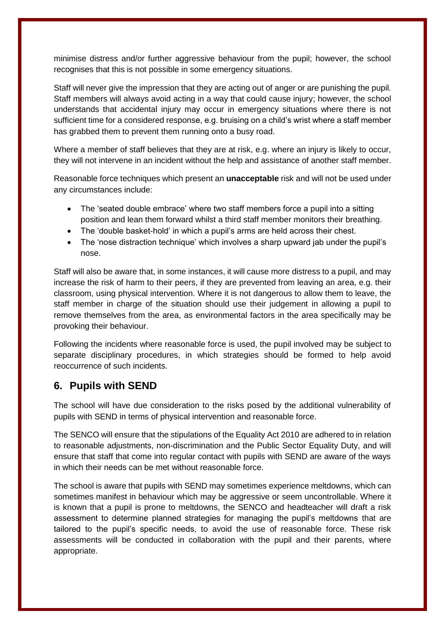minimise distress and/or further aggressive behaviour from the pupil; however, the school recognises that this is not possible in some emergency situations.

Staff will never give the impression that they are acting out of anger or are punishing the pupil. Staff members will always avoid acting in a way that could cause injury; however, the school understands that accidental injury may occur in emergency situations where there is not sufficient time for a considered response, e.g. bruising on a child's wrist where a staff member has grabbed them to prevent them running onto a busy road.

Where a member of staff believes that they are at risk, e.g. where an injury is likely to occur, they will not intervene in an incident without the help and assistance of another staff member.

Reasonable force techniques which present an **unacceptable** risk and will not be used under any circumstances include:

- The 'seated double embrace' where two staff members force a pupil into a sitting position and lean them forward whilst a third staff member monitors their breathing.
- The 'double basket-hold' in which a pupil's arms are held across their chest.
- The 'nose distraction technique' which involves a sharp upward jab under the pupil's nose.

Staff will also be aware that, in some instances, it will cause more distress to a pupil, and may increase the risk of harm to their peers, if they are prevented from leaving an area, e.g. their classroom, using physical intervention. Where it is not dangerous to allow them to leave, the staff member in charge of the situation should use their judgement in allowing a pupil to remove themselves from the area, as environmental factors in the area specifically may be provoking their behaviour.

Following the incidents where reasonable force is used, the pupil involved may be subject to separate disciplinary procedures, in which strategies should be formed to help avoid reoccurrence of such incidents.

#### <span id="page-7-0"></span>**6. Pupils with SEND**

The school will have due consideration to the risks posed by the additional vulnerability of pupils with SEND in terms of physical intervention and reasonable force.

The SENCO will ensure that the stipulations of the Equality Act 2010 are adhered to in relation to reasonable adjustments, non-discrimination and the Public Sector Equality Duty, and will ensure that staff that come into regular contact with pupils with SEND are aware of the ways in which their needs can be met without reasonable force.

The school is aware that pupils with SEND may sometimes experience meltdowns, which can sometimes manifest in behaviour which may be aggressive or seem uncontrollable. Where it is known that a pupil is prone to meltdowns, the SENCO and headteacher will draft a risk assessment to determine planned strategies for managing the pupil's meltdowns that are tailored to the pupil's specific needs, to avoid the use of reasonable force. These risk assessments will be conducted in collaboration with the pupil and their parents, where appropriate.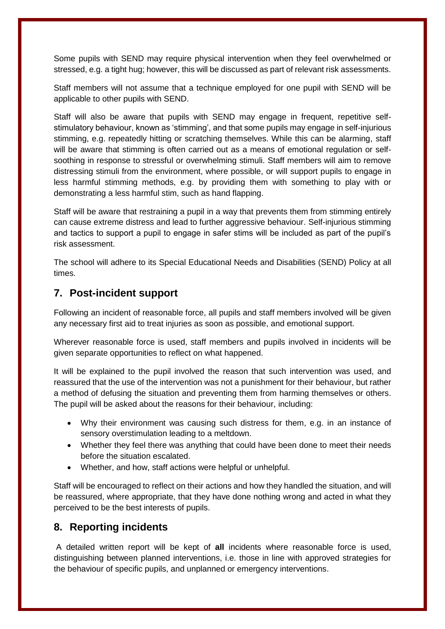Some pupils with SEND may require physical intervention when they feel overwhelmed or stressed, e.g. a tight hug; however, this will be discussed as part of relevant risk assessments.

Staff members will not assume that a technique employed for one pupil with SEND will be applicable to other pupils with SEND.

Staff will also be aware that pupils with SEND may engage in frequent, repetitive selfstimulatory behaviour, known as 'stimming', and that some pupils may engage in self-injurious stimming, e.g. repeatedly hitting or scratching themselves. While this can be alarming, staff will be aware that stimming is often carried out as a means of emotional regulation or selfsoothing in response to stressful or overwhelming stimuli. Staff members will aim to remove distressing stimuli from the environment, where possible, or will support pupils to engage in less harmful stimming methods, e.g. by providing them with something to play with or demonstrating a less harmful stim, such as hand flapping.

Staff will be aware that restraining a pupil in a way that prevents them from stimming entirely can cause extreme distress and lead to further aggressive behaviour. Self-injurious stimming and tactics to support a pupil to engage in safer stims will be included as part of the pupil's risk assessment.

The school will adhere to its Special Educational Needs and Disabilities (SEND) Policy at all times.

#### <span id="page-8-0"></span>**7. Post-incident support**

Following an incident of reasonable force, all pupils and staff members involved will be given any necessary first aid to treat injuries as soon as possible, and emotional support.

Wherever reasonable force is used, staff members and pupils involved in incidents will be given separate opportunities to reflect on what happened.

It will be explained to the pupil involved the reason that such intervention was used, and reassured that the use of the intervention was not a punishment for their behaviour, but rather a method of defusing the situation and preventing them from harming themselves or others. The pupil will be asked about the reasons for their behaviour, including:

- Why their environment was causing such distress for them, e.g. in an instance of sensory overstimulation leading to a meltdown.
- Whether they feel there was anything that could have been done to meet their needs before the situation escalated.
- Whether, and how, staff actions were helpful or unhelpful.

Staff will be encouraged to reflect on their actions and how they handled the situation, and will be reassured, where appropriate, that they have done nothing wrong and acted in what they perceived to be the best interests of pupils.

#### <span id="page-8-1"></span>**8. Reporting incidents**

A detailed written report will be kept of **all** incidents where reasonable force is used, distinguishing between planned interventions, i.e. those in line with approved strategies for the behaviour of specific pupils, and unplanned or emergency interventions.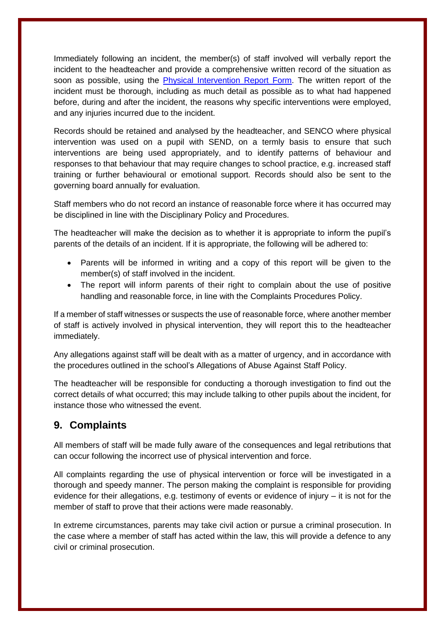Immediately following an incident, the member(s) of staff involved will verbally report the incident to the headteacher and provide a comprehensive written record of the situation as soon as possible, using the [Physical Intervention Report Form.](#page-12-0) The written report of the incident must be thorough, including as much detail as possible as to what had happened before, during and after the incident, the reasons why specific interventions were employed, and any injuries incurred due to the incident.

Records should be retained and analysed by the headteacher, and SENCO where physical intervention was used on a pupil with SEND, on a termly basis to ensure that such interventions are being used appropriately, and to identify patterns of behaviour and responses to that behaviour that may require changes to school practice, e.g. increased staff training or further behavioural or emotional support. Records should also be sent to the governing board annually for evaluation.

Staff members who do not record an instance of reasonable force where it has occurred may be disciplined in line with the Disciplinary Policy and Procedures.

The headteacher will make the decision as to whether it is appropriate to inform the pupil's parents of the details of an incident. If it is appropriate, the following will be adhered to:

- Parents will be informed in writing and a copy of this report will be given to the member(s) of staff involved in the incident.
- The report will inform parents of their right to complain about the use of positive handling and reasonable force, in line with the Complaints Procedures Policy.

If a member of staff witnesses or suspects the use of reasonable force, where another member of staff is actively involved in physical intervention, they will report this to the headteacher immediately.

Any allegations against staff will be dealt with as a matter of urgency, and in accordance with the procedures outlined in the school's Allegations of Abuse Against Staff Policy.

The headteacher will be responsible for conducting a thorough investigation to find out the correct details of what occurred; this may include talking to other pupils about the incident, for instance those who witnessed the event.

#### <span id="page-9-0"></span>**9. Complaints**

All members of staff will be made fully aware of the consequences and legal retributions that can occur following the incorrect use of physical intervention and force.

All complaints regarding the use of physical intervention or force will be investigated in a thorough and speedy manner. The person making the complaint is responsible for providing evidence for their allegations, e.g. testimony of events or evidence of injury – it is not for the member of staff to prove that their actions were made reasonably.

In extreme circumstances, parents may take civil action or pursue a criminal prosecution. In the case where a member of staff has acted within the law, this will provide a defence to any civil or criminal prosecution.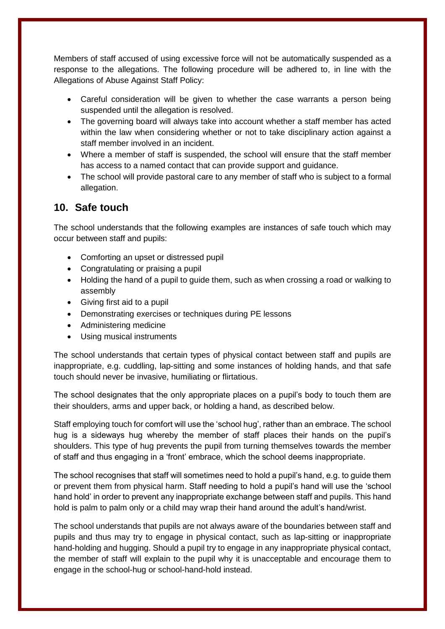Members of staff accused of using excessive force will not be automatically suspended as a response to the allegations. The following procedure will be adhered to, in line with the Allegations of Abuse Against Staff Policy:

- Careful consideration will be given to whether the case warrants a person being suspended until the allegation is resolved.
- The governing board will always take into account whether a staff member has acted within the law when considering whether or not to take disciplinary action against a staff member involved in an incident.
- Where a member of staff is suspended, the school will ensure that the staff member has access to a named contact that can provide support and guidance.
- The school will provide pastoral care to any member of staff who is subject to a formal allegation.

#### <span id="page-10-0"></span>**10. Safe touch**

The school understands that the following examples are instances of safe touch which may occur between staff and pupils:

- Comforting an upset or distressed pupil
- Congratulating or praising a pupil
- Holding the hand of a pupil to guide them, such as when crossing a road or walking to assembly
- Giving first aid to a pupil
- Demonstrating exercises or techniques during PE lessons
- Administering medicine
- Using musical instruments

The school understands that certain types of physical contact between staff and pupils are inappropriate, e.g. cuddling, lap-sitting and some instances of holding hands, and that safe touch should never be invasive, humiliating or flirtatious.

The school designates that the only appropriate places on a pupil's body to touch them are their shoulders, arms and upper back, or holding a hand, as described below.

Staff employing touch for comfort will use the 'school hug', rather than an embrace. The school hug is a sideways hug whereby the member of staff places their hands on the pupil's shoulders. This type of hug prevents the pupil from turning themselves towards the member of staff and thus engaging in a 'front' embrace, which the school deems inappropriate.

The school recognises that staff will sometimes need to hold a pupil's hand, e.g. to guide them or prevent them from physical harm. Staff needing to hold a pupil's hand will use the 'school hand hold' in order to prevent any inappropriate exchange between staff and pupils. This hand hold is palm to palm only or a child may wrap their hand around the adult's hand/wrist.

The school understands that pupils are not always aware of the boundaries between staff and pupils and thus may try to engage in physical contact, such as lap-sitting or inappropriate hand-holding and hugging. Should a pupil try to engage in any inappropriate physical contact, the member of staff will explain to the pupil why it is unacceptable and encourage them to engage in the school-hug or school-hand-hold instead.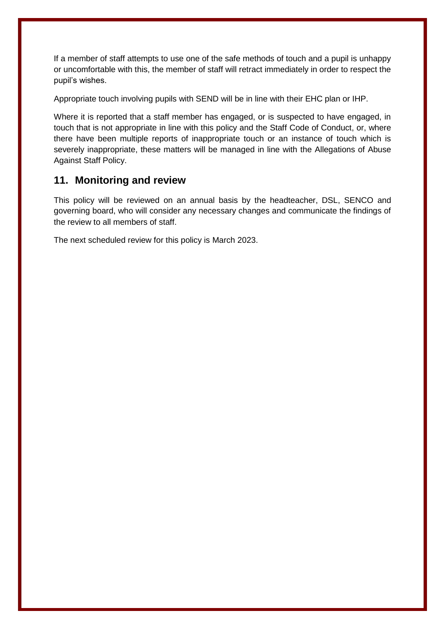If a member of staff attempts to use one of the safe methods of touch and a pupil is unhappy or uncomfortable with this, the member of staff will retract immediately in order to respect the pupil's wishes.

Appropriate touch involving pupils with SEND will be in line with their EHC plan or IHP.

Where it is reported that a staff member has engaged, or is suspected to have engaged, in touch that is not appropriate in line with this policy and the Staff Code of Conduct, or, where there have been multiple reports of inappropriate touch or an instance of touch which is severely inappropriate, these matters will be managed in line with the Allegations of Abuse Against Staff Policy.

#### <span id="page-11-0"></span>**11. Monitoring and review**

This policy will be reviewed on an annual basis by the headteacher, DSL, SENCO and governing board, who will consider any necessary changes and communicate the findings of the review to all members of staff.

The next scheduled review for this policy is March 2023.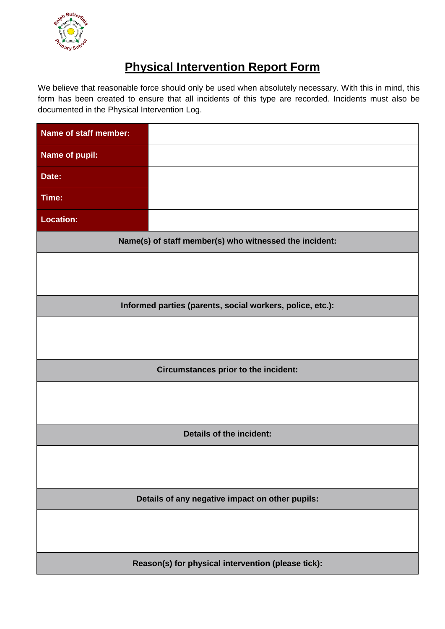<span id="page-12-1"></span>

# **Physical Intervention Report Form**

<span id="page-12-0"></span>We believe that reasonable force should only be used when absolutely necessary. With this in mind, this form has been created to ensure that all incidents of this type are recorded. Incidents must also be documented in the Physical Intervention Log.

| Name of staff member:                                  |                                                           |  |  |  |  |
|--------------------------------------------------------|-----------------------------------------------------------|--|--|--|--|
| Name of pupil:                                         |                                                           |  |  |  |  |
| Date:                                                  |                                                           |  |  |  |  |
| Time:                                                  |                                                           |  |  |  |  |
| <b>Location:</b>                                       |                                                           |  |  |  |  |
| Name(s) of staff member(s) who witnessed the incident: |                                                           |  |  |  |  |
|                                                        |                                                           |  |  |  |  |
|                                                        |                                                           |  |  |  |  |
|                                                        | Informed parties (parents, social workers, police, etc.): |  |  |  |  |
|                                                        |                                                           |  |  |  |  |
|                                                        |                                                           |  |  |  |  |
|                                                        | Circumstances prior to the incident:                      |  |  |  |  |
|                                                        |                                                           |  |  |  |  |
|                                                        |                                                           |  |  |  |  |
| <b>Details of the incident:</b>                        |                                                           |  |  |  |  |
|                                                        |                                                           |  |  |  |  |
|                                                        |                                                           |  |  |  |  |
| Details of any negative impact on other pupils:        |                                                           |  |  |  |  |
|                                                        |                                                           |  |  |  |  |
|                                                        |                                                           |  |  |  |  |
|                                                        | Reason(s) for physical intervention (please tick):        |  |  |  |  |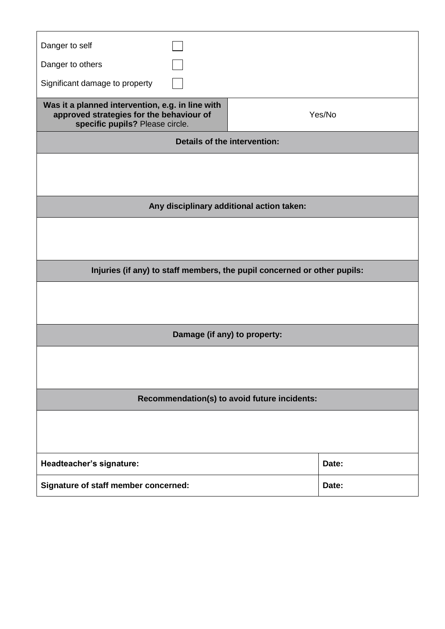| Danger to self                                                                                                                  |  |        |  |  |  |  |  |  |
|---------------------------------------------------------------------------------------------------------------------------------|--|--------|--|--|--|--|--|--|
| Danger to others                                                                                                                |  |        |  |  |  |  |  |  |
| Significant damage to property                                                                                                  |  |        |  |  |  |  |  |  |
| Was it a planned intervention, e.g. in line with<br>approved strategies for the behaviour of<br>specific pupils? Please circle. |  | Yes/No |  |  |  |  |  |  |
| <b>Details of the intervention:</b>                                                                                             |  |        |  |  |  |  |  |  |
|                                                                                                                                 |  |        |  |  |  |  |  |  |
|                                                                                                                                 |  |        |  |  |  |  |  |  |
| Any disciplinary additional action taken:                                                                                       |  |        |  |  |  |  |  |  |
|                                                                                                                                 |  |        |  |  |  |  |  |  |
|                                                                                                                                 |  |        |  |  |  |  |  |  |
| Injuries (if any) to staff members, the pupil concerned or other pupils:                                                        |  |        |  |  |  |  |  |  |
|                                                                                                                                 |  |        |  |  |  |  |  |  |
|                                                                                                                                 |  |        |  |  |  |  |  |  |
| Damage (if any) to property:                                                                                                    |  |        |  |  |  |  |  |  |
|                                                                                                                                 |  |        |  |  |  |  |  |  |
|                                                                                                                                 |  |        |  |  |  |  |  |  |
| Recommendation(s) to avoid future incidents:                                                                                    |  |        |  |  |  |  |  |  |
|                                                                                                                                 |  |        |  |  |  |  |  |  |
|                                                                                                                                 |  |        |  |  |  |  |  |  |
| Headteacher's signature:                                                                                                        |  | Date:  |  |  |  |  |  |  |
| Signature of staff member concerned:                                                                                            |  | Date:  |  |  |  |  |  |  |